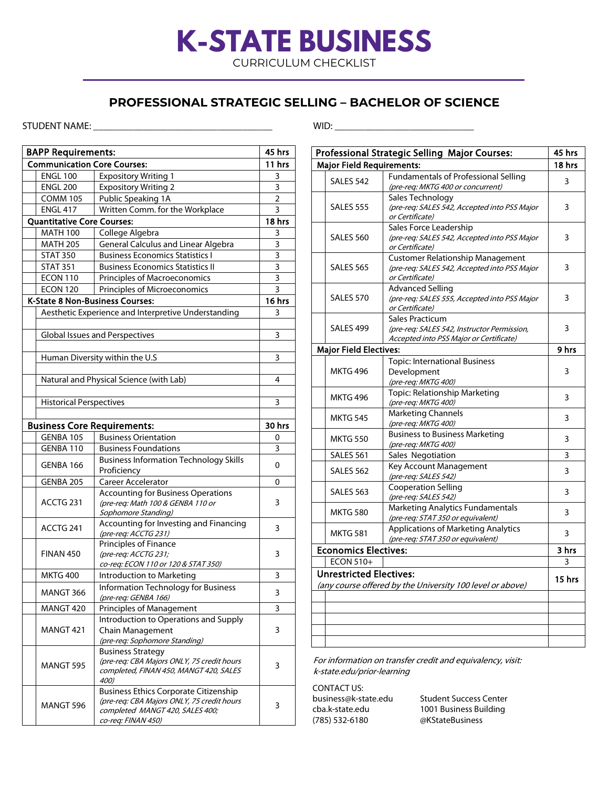# **K-STATE BUSINESS**

CURRICULUM CHECKLIST

### **PROFESSIONAL STRATEGIC SELLING – BACHELOR OF SCIENCE**

### STUDENT NAME: \_\_\_\_\_\_\_\_\_\_\_\_\_\_\_\_\_\_\_\_\_\_\_\_\_\_\_\_\_\_\_\_\_\_\_\_ WID: \_\_\_\_\_\_\_\_\_\_\_\_\_\_\_\_\_\_\_\_\_\_\_\_\_\_\_\_

BAPP Requirements: 45 hrs Communication Core Courses: 11 hrs ENGL 100 | Expository Writing 1 | 3 ENGL 200 Expository Writing 2 3 COMM 105 Public Speaking 1A 2 ENGL 417 Written Comm. for the Workplace 3 Quantitative Core Courses: 18 hrs MATH 100 College Algebra 3 MATH 205 General Calculus and Linear Algebra 13 STAT 350 | Business Economics Statistics I | 3 STAT 351 Business Economics Statistics II 3 ECON 110 Principles of Macroeconomics 23 ECON 120 Principles of Microeconomics 3 K-State 8 Non-Business Courses: 16 hrs Aesthetic Experience and Interpretive Understanding 13 Global Issues and Perspectives 3 Human Diversity within the U.S 3 Natural and Physical Science (with Lab) 4 Historical Perspectives **3** and 3 Business Core Requirements:  $\vert$  30 hrs GENBA 105 Business Orientation **CENBA 105** Business Orientation GENBA 110 Business Foundations 3 GENBA 166 Business Information Technology Skills 0 GENBA 205 Career Accelerator 0 ACCTG 231 Accounting for Business Operations (pre-req: Math 100 & GENBA 110 or Sophomore Standing) 3 ACCTG 241 | Accounting for Investing and Financing Accounting for investing and Financing<br>(pre-req: ACCTG 231) FINAN 450 Principles of Finance (pre-req: ACCTG 231; co-req: ECON 110 or 120 & STAT 350) 3 MKTG 400 | Introduction to Marketing | 3 MANGT 366 | Information Technology for Business  $(*pre-reg: GENBA 166*)$  3 MANGT 420 Principles of Management 3 MANGT 421 Introduction to Operations and Supply Chain Management (pre-req: Sophomore Standing) 3 MANGT 595 Business Strategy (pre-req: CBA Majors ONLY, 75 credit hours completed, FINAN 450, MANGT 420, SALES 400) 3 MANGT 596 Business Ethics Corporate Citizenship (pre-req: CBA Majors ONLY, 75 credit hours completed MANGT 420, SALES 400; co-req: FINAN 450) 3

|                             |                                  | Professional Strategic Selling Major Courses:                                                              | 45 hrs   |  |  |  |  |
|-----------------------------|----------------------------------|------------------------------------------------------------------------------------------------------------|----------|--|--|--|--|
|                             | <b>Major Field Requirements:</b> |                                                                                                            | 18 hrs   |  |  |  |  |
|                             | SALES 542                        | <b>Fundamentals of Professional Selling</b><br>(pre-req: MKTG 400 or concurrent)                           | 3        |  |  |  |  |
|                             | <b>SALES 555</b>                 | Sales Technology<br>(pre-req: SALES 542, Accepted into PSS Major<br>or Certificate)                        | 3        |  |  |  |  |
|                             | <b>SALES 560</b>                 | Sales Force Leadership<br>(pre-req: SALES 542, Accepted into PSS Major<br>or Certificate)                  | 3        |  |  |  |  |
|                             | <b>SALES 565</b>                 | <b>Customer Relationship Management</b><br>(pre-reg: SALES 542, Accepted into PSS Major<br>or Certificate) | 3        |  |  |  |  |
|                             | SALES 570                        | <b>Advanced Selling</b><br>(pre-req: SALES 555, Accepted into PSS Major<br>or Certificate)                 | 3        |  |  |  |  |
|                             | SALES 499                        | Sales Practicum<br>(pre-req: SALES 542, Instructor Permission,<br>Accepted into PSS Major or Certificate)  | 3        |  |  |  |  |
|                             | <b>Major Field Electives:</b>    |                                                                                                            | 9 hrs    |  |  |  |  |
|                             | <b>MKTG 496</b>                  | <b>Topic: International Business</b><br>Development<br>(pre-req: MKTG 400)                                 | 3        |  |  |  |  |
|                             | <b>MKTG 496</b>                  | Topic: Relationship Marketing<br>(pre-req: MKTG 400)                                                       | 3        |  |  |  |  |
|                             | <b>MKTG 545</b>                  | <b>Marketing Channels</b><br>(pre-req: MKTG 400)                                                           | 3        |  |  |  |  |
|                             | <b>MKTG 550</b>                  | <b>Business to Business Marketing</b><br>(pre-req: MKTG 400)                                               | 3        |  |  |  |  |
|                             | SALES 561                        | Sales Negotiation                                                                                          | 3        |  |  |  |  |
|                             | SALES 562                        | Key Account Management<br>(pre-req: SALES 542)                                                             | 3        |  |  |  |  |
|                             | <b>SALES 563</b>                 | <b>Cooperation Selling</b><br>(pre-req: SALES 542)                                                         | 3        |  |  |  |  |
|                             | <b>MKTG 580</b>                  | <b>Marketing Analytics Fundamentals</b><br>(pre-req: STAT 350 or equivalent)                               | 3        |  |  |  |  |
|                             | <b>MKTG 581</b>                  | <b>Applications of Marketing Analytics</b><br>(pre-req: STAT 350 or equivalent)                            | 3        |  |  |  |  |
| <b>Economics Electives:</b> |                                  |                                                                                                            |          |  |  |  |  |
|                             | <b>ECON 510+</b>                 |                                                                                                            |          |  |  |  |  |
|                             | <b>Unrestricted Electives:</b>   | (any course offered by the University 100 level or above)                                                  | $15$ hrs |  |  |  |  |
|                             |                                  |                                                                                                            |          |  |  |  |  |
|                             |                                  |                                                                                                            |          |  |  |  |  |
|                             |                                  |                                                                                                            |          |  |  |  |  |
|                             |                                  |                                                                                                            |          |  |  |  |  |

For information on transfer credit and equivalency, visit: k-state.edu/prior-learning

CONTACT US:

business@k-state.edu Student Success Center (785) 532-6180 @KStateBusiness

cba.k-state.edu 1001 Business Building